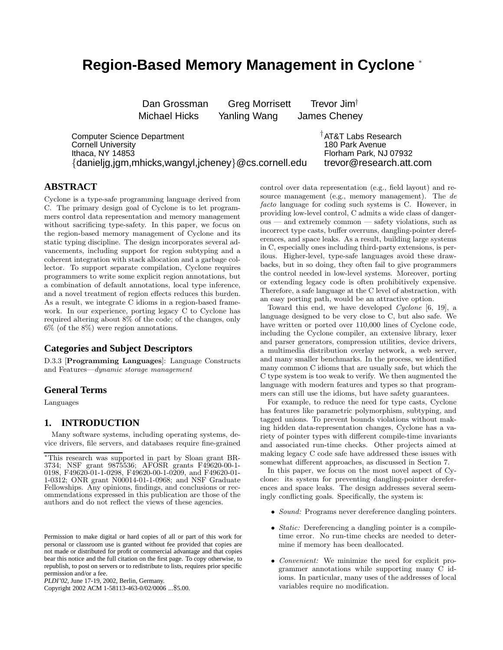# **Region-Based Memory Management in Cyclone** <sup>∗</sup>

Dan Grossman Greg Morrisett Trevor Jim<sup>†</sup> Michael Hicks Yanling Wang James Cheney

Computer Science Department Cornell University Ithaca, NY 14853 *{*danieljg,jgm,mhicks,wangyl,jcheney*}*@cs.cornell.edu †AT&T Labs Research 180 Park Avenue Florham Park, NJ 07932 trevor@research.att.com

# **ABSTRACT**

Cyclone is a type-safe programming language derived from C. The primary design goal of Cyclone is to let programmers control data representation and memory management without sacrificing type-safety. In this paper, we focus on the region-based memory management of Cyclone and its static typing discipline. The design incorporates several advancements, including support for region subtyping and a coherent integration with stack allocation and a garbage collector. To support separate compilation, Cyclone requires programmers to write some explicit region annotations, but a combination of default annotations, local type inference, and a novel treatment of region effects reduces this burden. As a result, we integrate C idioms in a region-based framework. In our experience, porting legacy C to Cyclone has required altering about 8% of the code; of the changes, only 6% (of the 8%) were region annotations.

### **Categories and Subject Descriptors**

D.3.3 [**Programming Languages**]: Language Constructs and Features—dynamic storage management

### **General Terms**

Languages

## **1. INTRODUCTION**

Many software systems, including operating systems, device drivers, file servers, and databases require fine-grained

Permission to make digital or hard copies of all or part of this work for personal or classroom use is granted without fee provided that copies are not made or distributed for profit or commercial advantage and that copies bear this notice and the full citation on the first page. To copy otherwise, to republish, to post on servers or to redistribute to lists, requires prior specific permission and/or a fee.

*PLDI'02,* June 17-19, 2002, Berlin, Germany.

Copyright 2002 ACM 1-58113-463-0/02/0006 ...\$5.00.

control over data representation (e.g., field layout) and resource management (e.g., memory management). The de facto language for coding such systems is C. However, in providing low-level control, C admits a wide class of dangerous — and extremely common — safety violations, such as incorrect type casts, buffer overruns, dangling-pointer dereferences, and space leaks. As a result, building large systems in C, especially ones including third-party extensions, is perilous. Higher-level, type-safe languages avoid these drawbacks, but in so doing, they often fail to give programmers the control needed in low-level systems. Moreover, porting or extending legacy code is often prohibitively expensive. Therefore, a safe language at the C level of abstraction, with an easy porting path, would be an attractive option.

Toward this end, we have developed Cyclone [6, 19], a language designed to be very close to C, but also safe. We have written or ported over 110,000 lines of Cyclone code, including the Cyclone compiler, an extensive library, lexer and parser generators, compression utilities, device drivers, a multimedia distribution overlay network, a web server, and many smaller benchmarks. In the process, we identified many common C idioms that are usually safe, but which the C type system is too weak to verify. We then augmented the language with modern features and types so that programmers can still use the idioms, but have safety guarantees.

For example, to reduce the need for type casts, Cyclone has features like parametric polymorphism, subtyping, and tagged unions. To prevent bounds violations without making hidden data-representation changes, Cyclone has a variety of pointer types with different compile-time invariants and associated run-time checks. Other projects aimed at making legacy C code safe have addressed these issues with somewhat different approaches, as discussed in Section 7.

In this paper, we focus on the most novel aspect of Cyclone: its system for preventing dangling-pointer dereferences and space leaks. The design addresses several seemingly conflicting goals. Specifically, the system is:

- *Sound:* Programs never dereference dangling pointers.
- *Static:* Dereferencing a dangling pointer is a compiletime error. No run-time checks are needed to determine if memory has been deallocated.
- *Convenient:* We minimize the need for explicit programmer annotations while supporting many C idioms. In particular, many uses of the addresses of local variables require no modification.

<sup>∗</sup>This research was supported in part by Sloan grant BR-3734; NSF grant 9875536; AFOSR grants F49620-00-1- 0198, F49620-01-1-0298, F49620-00-1-0209, and F49620-01- 1-0312; ONR grant N00014-01-1-0968; and NSF Graduate Fellowships. Any opinions, findings, and conclusions or recommendations expressed in this publication are those of the authors and do not reflect the views of these agencies.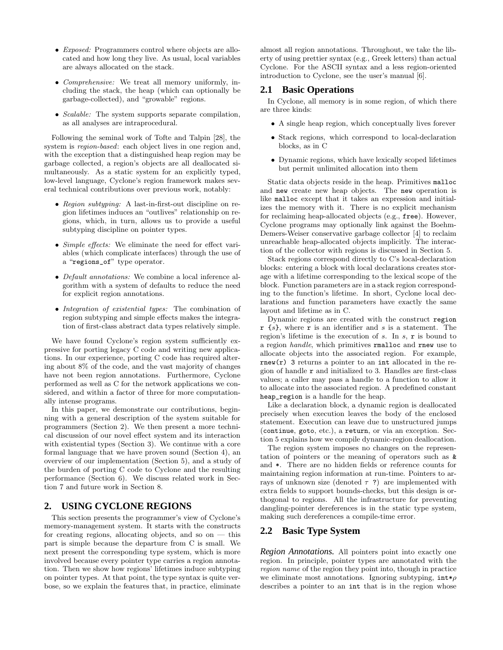- Exposed: Programmers control where objects are allocated and how long they live. As usual, local variables are always allocated on the stack.
- *Comprehensive:* We treat all memory uniformly, including the stack, the heap (which can optionally be garbage-collected), and "growable" regions.
- *Scalable:* The system supports separate compilation, as all analyses are intraprocedural.

Following the seminal work of Tofte and Talpin [28], the system is *region-based*: each object lives in one region and, with the exception that a distinguished heap region may be garbage collected, a region's objects are all deallocated simultaneously. As a static system for an explicitly typed, low-level language, Cyclone's region framework makes several technical contributions over previous work, notably:

- Region subtyping: A last-in-first-out discipline on region lifetimes induces an "outlives" relationship on regions, which, in turn, allows us to provide a useful subtyping discipline on pointer types.
- Simple effects: We eliminate the need for effect variables (which complicate interfaces) through the use of a "regions\_of" type operator.
- Default annotations: We combine a local inference algorithm with a system of defaults to reduce the need for explicit region annotations.
- Integration of existential types: The combination of region subtyping and simple effects makes the integration of first-class abstract data types relatively simple.

We have found Cyclone's region system sufficiently expressive for porting legacy C code and writing new applications. In our experience, porting C code has required altering about 8% of the code, and the vast majority of changes have not been region annotations. Furthermore, Cyclone performed as well as C for the network applications we considered, and within a factor of three for more computationally intense programs.

In this paper, we demonstrate our contributions, beginning with a general description of the system suitable for programmers (Section 2). We then present a more technical discussion of our novel effect system and its interaction with existential types (Section 3). We continue with a core formal language that we have proven sound (Section 4), an overview of our implementation (Section 5), and a study of the burden of porting C code to Cyclone and the resulting performance (Section 6). We discuss related work in Section 7 and future work in Section 8.

# **2. USING CYCLONE REGIONS**

This section presents the programmer's view of Cyclone's memory-management system. It starts with the constructs for creating regions, allocating objects, and so on  $-$  this part is simple because the departure from C is small. We next present the corresponding type system, which is more involved because every pointer type carries a region annotation. Then we show how regions' lifetimes induce subtyping on pointer types. At that point, the type syntax is quite verbose, so we explain the features that, in practice, eliminate

almost all region annotations. Throughout, we take the liberty of using prettier syntax (e.g., Greek letters) than actual Cyclone. For the ASCII syntax and a less region-oriented introduction to Cyclone, see the user's manual [6].

# **2.1 Basic Operations**

In Cyclone, all memory is in some region, of which there are three kinds:

- A single heap region, which conceptually lives forever
- Stack regions, which correspond to local-declaration blocks, as in C
- Dynamic regions, which have lexically scoped lifetimes but permit unlimited allocation into them

Static data objects reside in the heap. Primitives malloc and new create new heap objects. The new operation is like malloc except that it takes an expression and initializes the memory with it. There is no explicit mechanism for reclaiming heap-allocated objects (e.g., free). However, Cyclone programs may optionally link against the Boehm-Demers-Weiser conservative garbage collector [4] to reclaim unreachable heap-allocated objects implicitly. The interaction of the collector with regions is discussed in Section 5.

Stack regions correspond directly to C's local-declaration blocks: entering a block with local declarations creates storage with a lifetime corresponding to the lexical scope of the block. Function parameters are in a stack region corresponding to the function's lifetime. In short, Cyclone local declarations and function parameters have exactly the same layout and lifetime as in C.

Dynamic regions are created with the construct region  $\mathbf{r}$  {s}, where  $\mathbf{r}$  is an identifier and s is a statement. The region's lifetime is the execution of s. In s, r is bound to a region handle, which primitives rmalloc and rnew use to allocate objects into the associated region. For example,  $rnew(r)$  3 returns a pointer to an int allocated in the region of handle r and initialized to 3. Handles are first-class values; a caller may pass a handle to a function to allow it to allocate into the associated region. A predefined constant heap\_region is a handle for the heap.

Like a declaration block, a dynamic region is deallocated precisely when execution leaves the body of the enclosed statement. Execution can leave due to unstructured jumps (continue, goto, etc.), a return, or via an exception. Section 5 explains how we compile dynamic-region deallocation.

The region system imposes no changes on the representation of pointers or the meaning of operators such as & and \*. There are no hidden fields or reference counts for maintaining region information at run-time. Pointers to arrays of unknown size (denoted  $\tau$ ?) are implemented with extra fields to support bounds-checks, but this design is orthogonal to regions. All the infrastructure for preventing dangling-pointer dereferences is in the static type system, making such dereferences a compile-time error.

# **2.2 Basic Type System**

*Region Annotations.* All pointers point into exactly one region. In principle, pointer types are annotated with the region name of the region they point into, though in practice we eliminate most annotations. Ignoring subtyping,  $int*\rho$ describes a pointer to an int that is in the region whose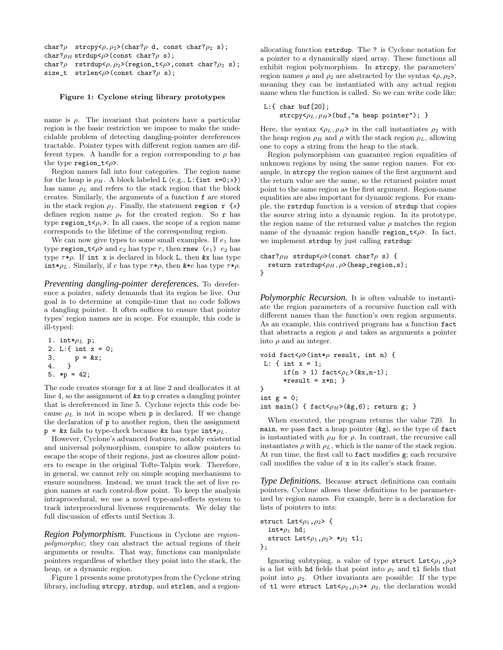```
char?\rho strcpy<\rho, \rho_2>(char?\rho d, const char?\rho_2 s);
char?\rho<sub>H</sub> strdup<\rho>(const char?\rho s);
char?\rho rstrdup<\rho, \rho_2>(region_t<\rho>, const char?\rho_2 s);
size_t strlen<\rho>(const char?\rho s);
```
#### **Figure 1: Cyclone string library prototypes**

name is  $\rho$ . The invariant that pointers have a particular region is the basic restriction we impose to make the undecidable problem of detecting dangling-pointer dereferences tractable. Pointer types with different region names are different types. A handle for a region corresponding to  $\rho$  has the type region\_ $t < \rho$ .

Region names fall into four categories. The region name for the heap is  $\rho_H$ . A block labeled L (e.g., L: {int x=0; s}) has name  $\rho_L$  and refers to the stack region that the block creates. Similarly, the arguments of a function f are stored in the stack region  $\rho_f$ . Finally, the statement region r {s} defines region name  $\rho_r$  for the created region. So r has type region\_ $t < \rho_r$ . In all cases, the scope of a region name corresponds to the lifetime of the corresponding region.

We can now give types to some small examples. If  $e_1$  has type region\_t< $\rho$ > and  $e_2$  has type  $\tau$ , then rnew ( $e_1$ )  $e_2$  has type  $\tau * \rho$ . If int x is declared in block L, then  $\&$ x has type int\* $\rho_L$ . Similarly, if e has type  $\tau * \rho$ , then  $\&*e$  has type  $\tau * \rho$ .

*Preventing dangling-pointer dereferences.* To dereference a pointer, safety demands that its region be live. Our goal is to determine at compile-time that no code follows a dangling pointer. It often suffices to ensure that pointer types' region names are in scope. For example, this code is ill-typed:

```
1. int*\rho_L p;
2. L:{ int x = 0;
3. p = kx;<br>4. }
4.
5. *p = 42;
```
The code creates storage for x at line 2 and deallocates it at line 4, so the assignment of &x to p creates a dangling pointer that is dereferenced in line 5. Cyclone rejects this code because  $\rho_L$  is not in scope when p is declared. If we change the declaration of p to another region, then the assignment  $p = kx$  fails to type-check because  $kx$  has type int $*\rho_L$ .

However, Cyclone's advanced features, notably existential and universal polymorphism, conspire to allow pointers to escape the scope of their regions, just as closures allow pointers to escape in the original Tofte-Talpin work. Therefore, in general, we cannot rely on simple scoping mechanisms to ensure soundness. Instead, we must track the set of live region names at each control-flow point. To keep the analysis intraprocedural, we use a novel type-and-effects system to track interprocedural liveness requirements. We delay the full discussion of effects until Section 3.

*Region Polymorphism.* Functions in Cyclone are regionpolymorphic; they can abstract the actual regions of their arguments or results. That way, functions can manipulate pointers regardless of whether they point into the stack, the heap, or a dynamic region.

Figure 1 presents some prototypes from the Cyclone string library, including strcpy, strdup, and strlen, and a regionallocating function rstrdup. The ? is Cyclone notation for a pointer to a dynamically sized array. These functions all exhibit region polymorphism. In strcpy, the parameters' region names  $\rho$  and  $\rho_2$  are abstracted by the syntax  $\langle \rho, \rho_2 \rangle$ , meaning they can be instantiated with any actual region name when the function is called. So we can write code like:

```
L:{ char buf[20];
     strcpy\langle \rho_L, \rho_H \rangle(buf, "a heap pointer"); }
```
Here, the syntax  $\langle \rho_L, \rho_H \rangle$  in the call instantiates  $\rho_2$  with the heap region  $\rho_H$  and  $\rho$  with the stack region  $\rho_L$ , allowing one to copy a string from the heap to the stack.

Region polymorphism can guarantee region equalities of unknown regions by using the same region names. For example, in strcpy the region names of the first argument and the return value are the same, so the returned pointer must point to the same region as the first argument. Region-name equalities are also important for dynamic regions. For example, the rstrdup function is a version of strdup that copies the source string into a dynamic region. In its prototype, the region name of the returned value  $\rho$  matches the region name of the dynamic region handle region\_ $t < \rho$ . In fact, we implement strdup by just calling rstrdup:

```
char?\rhoH strdup<\rho>(const char?\rho s) {
  return rstrdup<\rho_H, \rho>(heap_region,s);
}
```
*Polymorphic Recursion.* It is often valuable to instantiate the region parameters of a recursive function call with different names than the function's own region arguments. As an example, this contrived program has a function fact that abstracts a region  $\rho$  and takes as arguments a pointer into  $\rho$  and an integer.

```
void fact<\rho>(int*\rho result, int n) {
 L: \{ int x = 1;
      if(n > 1) fact<\rho_L>(&x,n-1);
       *result = x*n; }
}
int g = 0;
int main() { fact<\rhoH > (&g,6); return g; }
```
When executed, the program returns the value 720. In main, we pass fact a heap pointer (&g), so the type of fact is instantiated with  $\rho_H$  for  $\rho$ . In contrast, the recursive call instantiates  $\rho$  with  $\rho_L$ , which is the name of the stack region. At run time, the first call to fact modifies g; each recursive call modifies the value of x in its caller's stack frame.

*Type Definitions.* Because struct definitions can contain pointers, Cyclone allows these definitions to be parameterized by region names. For example, here is a declaration for lists of pointers to ints:

```
struct Lst<\rho_1, \rho_2> {
   int*\rho_1 hd;
   struct Lst<\rho_1, \rho_2> *\rho_2 tl;
};
```
Ignoring subtyping, a value of type struct  $List<sub>ρ<sub>1</sub>,ρ<sub>2</sub></sub>$ > is a list with hd fields that point into  $\rho_1$  and tl fields that point into  $\rho_2$ . Other invariants are possible: If the type of tl were struct Lst $\langle \rho_2, \rho_1 \rangle^*$   $\rho_2$ , the declaration would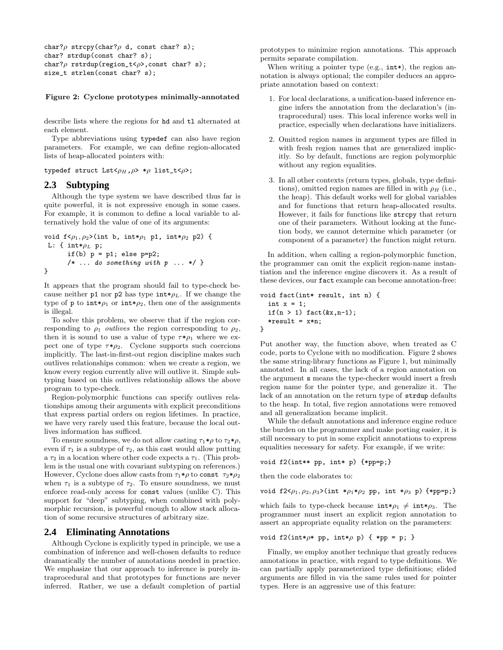```
char?\rho strcpy(char?\rho d, const char? s);
char? strdup(const char? s);
char?\rho rstrdup(region_t<\rho>, const char? s);
size_t strlen(const char? s);
```
**Figure 2: Cyclone prototypes minimally-annotated**

describe lists where the regions for hd and  $t1$  alternated at each element.

Type abbreviations using typedef can also have region parameters. For example, we can define region-allocated lists of heap-allocated pointers with:

typedef struct  $List $\rho_H, \rho$ > * $\rho$  list_t< $\rho$ >;$ 

## **2.3 Subtyping**

Although the type system we have described thus far is quite powerful, it is not expressive enough in some cases. For example, it is common to define a local variable to alternatively hold the value of one of its arguments:

```
void f < \rho_1, \rho_2>(int b, int*\rho_1 p1, int*\rho_2 p2) {
L: { int*\rho_L p;
       if(b) p = p1; else p=p2;
       /* ... do something with p ... */ }
}
```
It appears that the program should fail to type-check because neither p1 nor p2 has type  $int * \rho_L$ . If we change the type of p to  $\text{int} * \rho_1$  or  $\text{int} * \rho_2$ , then one of the assignments is illegal.

To solve this problem, we observe that if the region corresponding to  $\rho_1$  *outlives* the region corresponding to  $\rho_2$ , then it is sound to use a value of type  $\tau * \rho_1$  where we expect one of type  $\tau * \rho_2$ . Cyclone supports such coercions implicitly. The last-in-first-out region discipline makes such outlives relationships common: when we create a region, we know every region currently alive will outlive it. Simple subtyping based on this outlives relationship allows the above program to type-check.

Region-polymorphic functions can specify outlives relationships among their arguments with explicit preconditions that express partial orders on region lifetimes. In practice, we have very rarely used this feature, because the local outlives information has sufficed.

To ensure soundness, we do not allow casting  $\tau_1 * \rho$  to  $\tau_2 * \rho$ , even if  $\tau_1$  is a subtype of  $\tau_2$ , as this cast would allow putting a  $\tau_2$  in a location where other code expects a  $\tau_1$ . (This problem is the usual one with covariant subtyping on references.) However, Cyclone does allow casts from  $\tau_1 * \rho$  to const  $\tau_2 * \rho_2$ when  $\tau_1$  is a subtype of  $\tau_2$ . To ensure soundness, we must enforce read-only access for const values (unlike C). This support for "deep" subtyping, when combined with polymorphic recursion, is powerful enough to allow stack allocation of some recursive structures of arbitrary size.

#### **2.4 Eliminating Annotations**

Although Cyclone is explicitly typed in principle, we use a combination of inference and well-chosen defaults to reduce dramatically the number of annotations needed in practice. We emphasize that our approach to inference is purely intraprocedural and that prototypes for functions are never inferred. Rather, we use a default completion of partial

prototypes to minimize region annotations. This approach permits separate compilation.

When writing a pointer type (e.g.,  $int*)$ , the region annotation is always optional; the compiler deduces an appropriate annotation based on context:

- 1. For local declarations, a unification-based inference engine infers the annotation from the declaration's (intraprocedural) uses. This local inference works well in practice, especially when declarations have initializers.
- 2. Omitted region names in argument types are filled in with fresh region names that are generalized implicitly. So by default, functions are region polymorphic without any region equalities.
- 3. In all other contexts (return types, globals, type definitions), omitted region names are filled in with  $\rho_H$  (i.e., the heap). This default works well for global variables and for functions that return heap-allocated results. However, it fails for functions like strcpy that return one of their parameters. Without looking at the function body, we cannot determine which parameter (or component of a parameter) the function might return.

In addition, when calling a region-polymorphic function, the programmer can omit the explicit region-name instantiation and the inference engine discovers it. As a result of these devices, our fact example can become annotation-free:

```
void fact(int* result, int n) {
  int x = 1;
  if(n > 1) fact(kx, n-1);
  *result = x*n;
}
```
Put another way, the function above, when treated as C code, ports to Cyclone with no modification. Figure 2 shows the same string-library functions as Figure 1, but minimally annotated. In all cases, the lack of a region annotation on the argument s means the type-checker would insert a fresh region name for the pointer type, and generalize it. The lack of an annotation on the return type of strdup defaults to the heap. In total, five region annotations were removed and all generalization became implicit.

While the default annotations and inference engine reduce the burden on the programmer and make porting easier, it is still necessary to put in some explicit annotations to express equalities necessary for safety. For example, if we write:

void f2(int\*\* pp, int\* p) {\*pp=p;}

then the code elaborates to:

void f2< $\rho_1, \rho_2, \rho_3$ >(int \* $\rho_1 * \rho_2$  pp, int \* $\rho_3$  p) {\*pp=p;}

which fails to type-check because  $int * \rho_1 \neq int * \rho_3$ . The programmer must insert an explicit region annotation to assert an appropriate equality relation on the parameters:

void f2(int\* $\rho$ \* pp, int\* $\rho$  p) { \*pp = p; }

Finally, we employ another technique that greatly reduces annotations in practice, with regard to type definitions. We can partially apply parameterized type definitions; elided arguments are filled in via the same rules used for pointer types. Here is an aggressive use of this feature: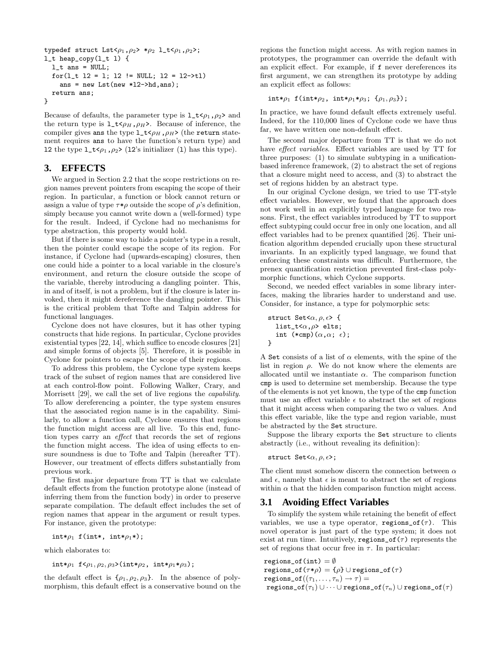```
typedef struct List<\rho_1, \rho_2> *\rho_2 l_t<\rho_1, \rho_2>;
l_t heap_copy(l_t l) {
  l_t ans = NULL;
  for(l_t 12 = 1; 12 != NULL; 12 = 12->tl)
    ans = new List(new *12->hd,ans);return ans;
}
```
Because of defaults, the parameter type is  $1_t \lt \varphi_1, \varphi_2$  and the return type is  $1_t \leq \rho_H$ ,  $\rho_H$ . Because of inference, the compiler gives ans the type  $1_t \lt \rho_H$ ,  $\rho_H$  (the return statement requires ans to have the function's return type) and 12 the type  $1_t \lt \rho_1$ ,  $\rho_2$  (12's initializer (1) has this type).

# **3. EFFECTS**

We argued in Section 2.2 that the scope restrictions on region names prevent pointers from escaping the scope of their region. In particular, a function or block cannot return or assign a value of type  $\tau * \rho$  outside the scope of  $\rho$ 's definition, simply because you cannot write down a (well-formed) type for the result. Indeed, if Cyclone had no mechanisms for type abstraction, this property would hold.

But if there is some way to hide a pointer's type in a result, then the pointer could escape the scope of its region. For instance, if Cyclone had (upwards-escaping) closures, then one could hide a pointer to a local variable in the closure's environment, and return the closure outside the scope of the variable, thereby introducing a dangling pointer. This, in and of itself, is not a problem, but if the closure is later invoked, then it might dereference the dangling pointer. This is the critical problem that Tofte and Talpin address for functional languages.

Cyclone does not have closures, but it has other typing constructs that hide regions. In particular, Cyclone provides existential types [22, 14], which suffice to encode closures [21] and simple forms of objects [5]. Therefore, it is possible in Cyclone for pointers to escape the scope of their regions.

To address this problem, the Cyclone type system keeps track of the subset of region names that are considered live at each control-flow point. Following Walker, Crary, and Morrisett [29], we call the set of live regions the capability. To allow dereferencing a pointer, the type system ensures that the associated region name is in the capability. Similarly, to allow a function call, Cyclone ensures that regions the function might access are all live. To this end, function types carry an effect that records the set of regions the function might access. The idea of using effects to ensure soundness is due to Tofte and Talpin (hereafter TT). However, our treatment of effects differs substantially from previous work.

The first major departure from TT is that we calculate default effects from the function prototype alone (instead of inferring them from the function body) in order to preserve separate compilation. The default effect includes the set of region names that appear in the argument or result types. For instance, given the prototype:

int\* $\rho_1$  f(int\*, int\* $\rho_1$ \*);

which elaborates to:

 $\text{int}*\rho_1 f \langle \rho_1, \rho_2, \rho_3 \rangle (\text{int}*\rho_2, \text{int}*\rho_1*\rho_3);$ 

the default effect is  $\{\rho_1, \rho_2, \rho_3\}$ . In the absence of polymorphism, this default effect is a conservative bound on the regions the function might access. As with region names in prototypes, the programmer can override the default with an explicit effect. For example, if f never dereferences its first argument, we can strengthen its prototype by adding an explicit effect as follows:

int\* $\rho_1$  f(int\* $\rho_2$ , int\* $\rho_1$ \* $\rho_3$ ; { $\rho_1, \rho_3$ });

In practice, we have found default effects extremely useful. Indeed, for the 110,000 lines of Cyclone code we have thus far, we have written one non-default effect.

The second major departure from TT is that we do not have effect variables. Effect variables are used by TT for three purposes: (1) to simulate subtyping in a unificationbased inference framework, (2) to abstract the set of regions that a closure might need to access, and (3) to abstract the set of regions hidden by an abstract type.

In our original Cyclone design, we tried to use TT-style effect variables. However, we found that the approach does not work well in an explicitly typed language for two reasons. First, the effect variables introduced by TT to support effect subtyping could occur free in only one location, and all effect variables had to be prenex quantified [26]. Their unification algorithm depended crucially upon these structural invariants. In an explicitly typed language, we found that enforcing these constraints was difficult. Furthermore, the prenex quantification restriction prevented first-class polymorphic functions, which Cyclone supports.

Second, we needed effect variables in some library interfaces, making the libraries harder to understand and use. Consider, for instance, a type for polymorphic sets:

```
struct Set\langle \alpha, \rho, \epsilon \rangle {
   list_t<\alpha,\rho> elts;
    int (*\text{cmp})(\alpha, \alpha; \epsilon);}
```
A Set consists of a list of  $\alpha$  elements, with the spine of the list in region  $\rho$ . We do not know where the elements are allocated until we instantiate  $\alpha$ . The comparison function cmp is used to determine set membership. Because the type of the elements is not yet known, the type of the cmp function must use an effect variable  $\epsilon$  to abstract the set of regions that it might access when comparing the two  $\alpha$  values. And this effect variable, like the type and region variable, must be abstracted by the Set structure.

Suppose the library exports the Set structure to clients abstractly (i.e., without revealing its definition):

struct Set $\langle \alpha, \rho, \epsilon \rangle$ ;

The client must somehow discern the connection between  $\alpha$ and  $\epsilon$ , namely that  $\epsilon$  is meant to abstract the set of regions within  $\alpha$  that the hidden comparison function might access.

## **3.1 Avoiding Effect Variables**

To simplify the system while retaining the benefit of effect variables, we use a type operator,  $\text{regions\_of}(\tau)$ . This novel operator is just part of the type system; it does not exist at run time. Intuitively,  $\text{regions\_of}(\tau)$  represents the set of regions that occur free in  $\tau$ . In particular:

regions\_of(int) =  $\emptyset$ regions\_of( $\tau * \rho$ ) = { $\rho$ }  $\cup$  regions\_of( $\tau$ ) regions\_of $((\tau_1,\ldots,\tau_n)\to\tau)=$ regions\_of( $\tau_1$ ) ∪ $\cdots$  ∪ regions\_of( $\tau_n$ ) ∪ regions\_of( $\tau$ )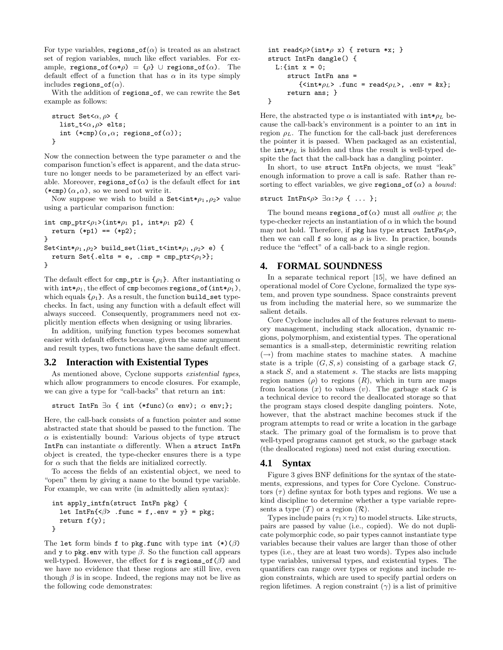For type variables, regions  $of(\alpha)$  is treated as an abstract set of region variables, much like effect variables. For example, regions\_of( $\alpha * \rho$ ) = { $\rho$ }  $\cup$  regions\_of( $\alpha$ ). The default effect of a function that has  $\alpha$  in its type simply includes regions\_of( $\alpha$ ).

With the addition of regions\_of, we can rewrite the Set example as follows:

```
struct Set<\alpha, \rho> {
  list_t<\alpha,\rho> elts;
   int (*cmp)(\alpha, \alpha; regions_of(\alpha);
}
```
Now the connection between the type parameter  $\alpha$  and the comparison function's effect is apparent, and the data structure no longer needs to be parameterized by an effect variable. Moreover, regions  $of(\alpha)$  is the default effect for int  $(*cmp)(\alpha,\alpha)$ , so we need not write it.

Now suppose we wish to build a Set $\text{Sint} * \rho_1, \rho_2$  value using a particular comparison function:

```
int cmp_ptr<\rho_1>(int*\rho_1 p1, int*\rho_1 p2) {
  return (*p1) == (*p2);}
Set<int*\rho_1, \rho_2> build_set(list_t<int*\rho_1, \rho_2> e) {
  return Set{.elts = e, .cmp = cmp_ptr<\rho_1>};
}
```
The default effect for cmp\_ptr is  $\{\rho_1\}$ . After instantiating  $\alpha$ with  $\text{int} * \rho_1$ , the effect of cmp becomes regions\_of( $\text{int} * \rho_1$ ), which equals  $\{\rho_1\}$ . As a result, the function build\_set typechecks. In fact, using any function with a default effect will always succeed. Consequently, programmers need not explicitly mention effects when designing or using libraries.

In addition, unifying function types becomes somewhat easier with default effects because, given the same argument and result types, two functions have the same default effect.

### **3.2 Interaction with Existential Types**

As mentioned above, Cyclone supports existential types, which allow programmers to encode closures. For example, we can give a type for "call-backs" that return an int:

```
struct IntFn \exists \alpha { int (*func)(\alpha env); \alpha env;};
```
Here, the call-back consists of a function pointer and some abstracted state that should be passed to the function. The  $\alpha$  is existentially bound: Various objects of type struct IntFn can instantiate  $\alpha$  differently. When a struct IntFn object is created, the type-checker ensures there is a type for  $\alpha$  such that the fields are initialized correctly.

To access the fields of an existential object, we need to "open" them by giving a name to the bound type variable. For example, we can write (in admittedly alien syntax):

```
int apply_intfn(struct IntFn pkg) {
  let IntFn\{\langle \beta \rangle .func = f,.env = y} = pkg;
  return f(y);
}
```
The let form binds f to pkg.func with type int  $(*)$  $(\beta)$ and y to pkg.env with type  $\beta$ . So the function call appears well-typed. However, the effect for f is regions\_of( $\beta$ ) and we have no evidence that these regions are still live, even though  $\beta$  is in scope. Indeed, the regions may not be live as the following code demonstrates:

```
int read<\rho>(int*\rho x) { return *x; }
struct IntFn dangle() {
  L:\{int x = 0;struct IntFn ans =
         \{<\text{int} * \rho_L> .func = read<\rho_L>, .env = &x};
     return ans; }
}
```
Here, the abstracted type  $\alpha$  is instantiated with  $\text{int} * \rho_L$  because the call-back's environment is a pointer to an int in region  $\rho_L$ . The function for the call-back just dereferences the pointer it is passed. When packaged as an existential, the  $\text{int} * \rho_L$  is hidden and thus the result is well-typed despite the fact that the call-back has a dangling pointer.

In short, to use struct IntFn objects, we must "leak" enough information to prove a call is safe. Rather than resorting to effect variables, we give regions\_of( $\alpha$ ) a *bound*:

#### struct IntFn< $\rho$ >  $\exists \alpha : \geq \rho \ \{ \ \ldots \ \}$ ;

The bound means regions\_of( $\alpha$ ) must all *outlive*  $\rho$ ; the type-checker rejects an instantiation of  $\alpha$  in which the bound may not hold. Therefore, if pkg has type struct  $IntFn < \rho$ , then we can call  $f$  so long as  $\rho$  is live. In practice, bounds reduce the "effect" of a call-back to a single region.

#### **4. FORMAL SOUNDNESS**

In a separate technical report [15], we have defined an operational model of Core Cyclone, formalized the type system, and proven type soundness. Space constraints prevent us from including the material here, so we summarize the salient details.

Core Cyclone includes all of the features relevant to memory management, including stack allocation, dynamic regions, polymorphism, and existential types. The operational semantics is a small-step, deterministic rewriting relation  $(\rightarrow)$  from machine states to machine states. A machine state is a triple  $(G, S, s)$  consisting of a garbage stack G, a stack S, and a statement s. The stacks are lists mapping region names ( $\rho$ ) to regions (R), which in turn are maps from locations  $(x)$  to values  $(v)$ . The garbage stack G is a technical device to record the deallocated storage so that the program stays closed despite dangling pointers. Note, however, that the abstract machine becomes stuck if the program attempts to read or write a location in the garbage stack. The primary goal of the formalism is to prove that well-typed programs cannot get stuck, so the garbage stack (the deallocated regions) need not exist during execution.

#### **4.1 Syntax**

Figure 3 gives BNF definitions for the syntax of the statements, expressions, and types for Core Cyclone. Constructors  $(\tau)$  define syntax for both types and regions. We use a kind discipline to determine whether a type variable represents a type  $(T)$  or a region  $(\mathcal{R})$ .

Types include pairs  $(\tau_1 \times \tau_2)$  to model structs. Like structs, pairs are passed by value (i.e., copied). We do not duplicate polymorphic code, so pair types cannot instantiate type variables because their values are larger than those of other types (i.e., they are at least two words). Types also include type variables, universal types, and existential types. The quantifiers can range over types or regions and include region constraints, which are used to specify partial orders on region lifetimes. A region constraint  $(\gamma)$  is a list of primitive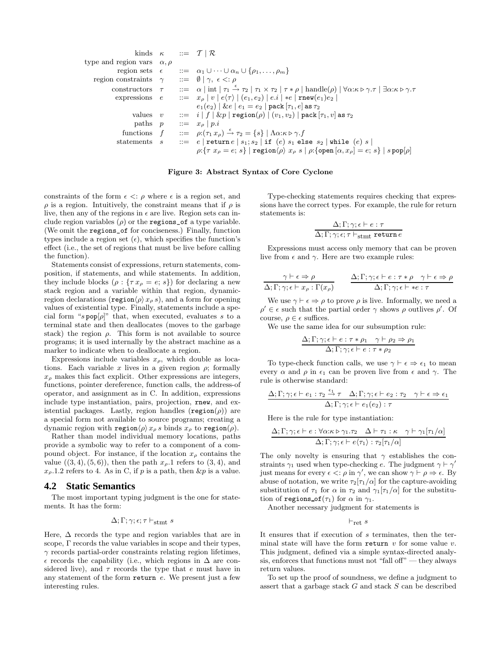kinds 
$$
\kappa
$$
 ::=  $\mathcal{T} | \mathcal{R}$   
\ntype and region vars  $\alpha, \rho$   
\nregion sets  $\epsilon$  ::=  $\alpha_1 \cup \cdots \cup \alpha_n \cup \{\rho_1, \ldots, \rho_m\}$   
\nregion constraints  $\gamma$  ::=  $\emptyset | \gamma, \epsilon <: \rho$   
\nconstructions  $\tau$  ::=  $\alpha | \text{ int } |\tau_1 \stackrel{\epsilon}{\rightarrow} \tau_2 | \tau_1 \times \tau_2 | \tau * \rho | \text{ handle}(\rho) | \forall \alpha: \kappa \triangleright \gamma. \tau | \exists \alpha: \kappa \triangleright \gamma. \tau$   
\nexpressions  $e$  ::=  $x_\rho | v | e \langle \tau \rangle | (e_1, e_2) | e.i | * e | \text{rnew}(e_1)e_2 |$   
\n $e_1(e_2) | \& e | e_1 = e_2 | \text{pack}[\tau_1, e] \text{ as } \tau_2$   
\nvalues  $v$  ::=  $i | f | \& p | \text{region}(\rho) | (v_1, v_2) | \text{pack}[\tau_1, v] \text{ as } \tau_2$   
\npaths  $p$  ::=  $x_\rho | p.i$   
\nfunctions  $f$  ::=  $\rho: (\tau_1 x_\rho) \stackrel{\epsilon}{\rightarrow} \tau_2 = \{s\} | \Delta \alpha: \kappa \triangleright \gamma. f$   
\nstatements  $s$  ::=  $e | \text{return } e | s_1; s_2 | \text{ if } (e) s_1 \text{ else } s_2 | \text{while } (e) s |$   
\n $\rho: \{\tau x_\rho = e; s\} | \text{region}(\rho) x_\rho s | \rho: \{\text{open} [\alpha, x_\rho] = e; s\} | s \text{pop}[\rho]$ 

#### **Figure 3: Abstract Syntax of Core Cyclone**

constraints of the form  $\epsilon < \rho$  where  $\epsilon$  is a region set, and  $\rho$  is a region. Intuitively, the constraint means that if  $\rho$  is live, then any of the regions in  $\epsilon$  are live. Region sets can include region variables  $(\rho)$  or the **regions** of a type variable. (We omit the regions\_of for conciseness.) Finally, function types include a region set  $(\epsilon)$ , which specifies the function's effect (i.e., the set of regions that must be live before calling the function).

Statements consist of expressions, return statements, composition, if statements, and while statements. In addition, they include blocks  $(\rho : {\tau x_{\rho} = e; s})$  for declaring a new stack region and a variable within that region, dynamicregion declarations ( $\operatorname{region}(\rho) x_\rho s$ ), and a form for opening values of existential type. Finally, statements include a special form " $s$  pop $[\rho]$ " that, when executed, evaluates s to a terminal state and then deallocates (moves to the garbage stack) the region  $\rho$ . This form is not available to source programs; it is used internally by the abstract machine as a marker to indicate when to deallocate a region.

Expressions include variables  $x_{\rho}$ , which double as locations. Each variable x lives in a given region  $\rho$ ; formally  $x_{\rho}$  makes this fact explicit. Other expressions are integers, functions, pointer dereference, function calls, the address-of operator, and assignment as in C. In addition, expressions include type instantiation, pairs, projection, rnew, and existential packages. Lastly, region handles  $(\text{region}(\rho))$  are a special form not available to source programs; creating a dynamic region with  $\operatorname{region}(\rho) x_\rho s$  binds  $x_\rho$  to  $\operatorname{region}(\rho)$ .

Rather than model individual memory locations, paths provide a symbolic way to refer to a component of a compound object. For instance, if the location  $x_{\rho}$  contains the value  $((3,4),(5,6))$ , then the path  $x_{\rho}.1$  refers to  $(3,4)$ , and  $x_p$ .1.2 refers to 4. As in C, if p is a path, then  $\&p$  is a value.

#### **4.2 Static Semantics**

The most important typing judgment is the one for statements. It has the form:

$$
\Delta;\Gamma;\gamma;\epsilon;\tau\vdash_{\mathrm{stmt}}s
$$

Here,  $\Delta$  records the type and region variables that are in scope, Γ records the value variables in scope and their types,  $\gamma$  records partial-order constraints relating region lifetimes,  $\epsilon$  records the capability (i.e., which regions in  $\Delta$  are considered live), and  $\tau$  records the type that e must have in any statement of the form return  $e$ . We present just a few interesting rules.

Type-checking statements requires checking that expressions have the correct types. For example, the rule for return statements is:

$$
\frac{\Delta; \Gamma; \gamma; \epsilon \vdash e : \tau}{\Delta; \Gamma; \gamma; \epsilon; \tau \vdash_{\text{stmt return } e}}
$$

Expressions must access only memory that can be proven live from  $\epsilon$  and  $\gamma$ . Here are two example rules:

$$
\frac{\gamma \vdash \epsilon \Rightarrow \rho}{\Delta; \Gamma; \gamma; \epsilon \vdash x_{\rho} : \Gamma(x_{\rho})}
$$
\n
$$
\frac{\Delta; \Gamma; \gamma; \epsilon \vdash e : \tau * \rho \quad \gamma \vdash \epsilon \Rightarrow \rho}{\Delta; \Gamma; \gamma; \epsilon \vdash *e : \tau}
$$

We use  $\gamma \vdash \epsilon \Rightarrow \rho$  to prove  $\rho$  is live. Informally, we need a  $\rho' \in \epsilon$  such that the partial order  $\gamma$  shows  $\rho$  outlives  $\rho'$ . Of course,  $\rho \in \epsilon$  suffices.

We use the same idea for our subsumption rule:

$$
\frac{\Delta; \Gamma; \gamma; \epsilon \vdash e : \tau * \rho_1 \quad \gamma \vdash \rho_2 \Rightarrow \rho_1}{\Delta; \Gamma; \gamma; \epsilon \vdash e : \tau * \rho_2}
$$

To type-check function calls, we use  $\gamma \vdash \epsilon \Rightarrow \epsilon_1$  to mean every  $\alpha$  and  $\rho$  in  $\epsilon_1$  can be proven live from  $\epsilon$  and  $\gamma$ . The rule is otherwise standard:

$$
\Delta; \Gamma; \gamma; \epsilon \vdash e_1 : \tau_2 \stackrel{\epsilon_1}{\rightarrow} \tau \quad \Delta; \Gamma; \gamma; \epsilon \vdash e_2 : \tau_2 \quad \gamma \vdash \epsilon \Rightarrow \epsilon_1
$$

$$
\Delta; \Gamma; \gamma; \epsilon \vdash e_1(e_2) : \tau
$$

Here is the rule for type instantiation:

$$
\frac{\Delta; \Gamma; \gamma; \epsilon \vdash e : \forall \alpha: \kappa \triangleright \gamma_1. \tau_2 \quad \Delta \vdash \tau_1 : \kappa \quad \gamma \vdash \gamma_1[\tau_1/\alpha]}{\Delta; \Gamma; \gamma; \epsilon \vdash e \langle \tau_1 \rangle : \tau_2[\tau_1/\alpha]}
$$

The only novelty is ensuring that  $\gamma$  establishes the constraints  $\gamma_1$  used when type-checking e. The judgment  $\gamma \vdash \gamma'$ just means for every  $\epsilon < \rho$  in  $\gamma'$ , we can show  $\gamma \vdash \rho \Rightarrow \epsilon$ . By abuse of notation, we write  $\tau_2[\tau_1/\alpha]$  for the capture-avoiding substitution of  $\tau_1$  for  $\alpha$  in  $\tau_2$  and  $\gamma_1|\tau_1/\alpha|$  for the substitution of regions of  $(\tau_1)$  for  $\alpha$  in  $\gamma_1$ .

Another necessary judgment for statements is

 $\vdash_{\text{ret}} s$ 

It ensures that if execution of s terminates, then the terminal state will have the form return  $v$  for some value  $v$ . This judgment, defined via a simple syntax-directed analysis, enforces that functions must not "fall off" — they always return values.

To set up the proof of soundness, we define a judgment to assert that a garbage stack G and stack S can be described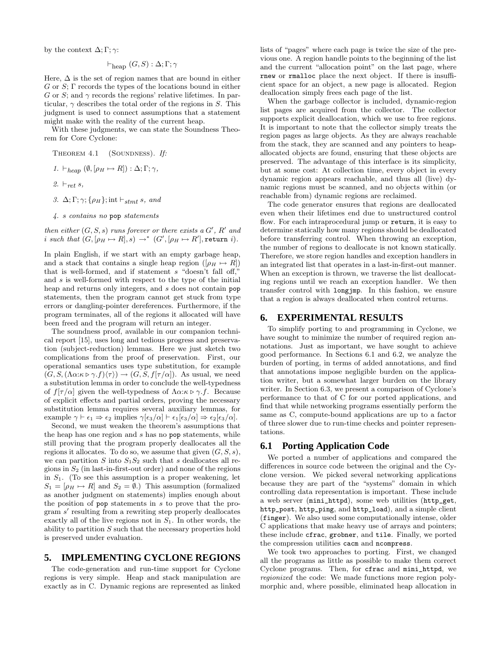by the context  $\Delta; \Gamma; \gamma$ :

$$
\vdash_{\text{heap}} (G, S) : \Delta; \Gamma; \gamma
$$

Here,  $\Delta$  is the set of region names that are bound in either  $G$  or  $S$ ;  $\Gamma$  records the types of the locations bound in either G or S; and  $\gamma$  records the regions' relative lifetimes. In particular,  $\gamma$  describes the total order of the regions in S. This judgment is used to connect assumptions that a statement might make with the reality of the current heap.

With these judgments, we can state the Soundness Theorem for Core Cyclone:

THEOREM 4.1 (SOUNDNESS). If:

- 1.  $\vdash_{heap} (\emptyset, [\rho_H \mapsto R]) : \Delta; \Gamma; \gamma,$
- 2.  $\vdash_{ret} s$ ,
- 3.  $\Delta; \Gamma; \gamma; \{\rho_H\}; \text{int} \vdash_{stmt} s, \text{ and}$
- 4. s contains no pop statements

then either  $(G, S, s)$  runs forever or there exists a  $G', R'$  and *i* such that  $(G, [\rho_H \mapsto R], s) \rightarrow^* (G', [\rho_H \mapsto R'],$ return *i*).

In plain English, if we start with an empty garbage heap, and a stack that contains a single heap region  $([\rho_H \mapsto R])$ that is well-formed, and if statement  $s$  "doesn't fall off," and  $s$  is well-formed with respect to the type of the initial heap and returns only integers, and s does not contain pop statements, then the program cannot get stuck from type errors or dangling-pointer dereferences. Furthermore, if the program terminates, all of the regions it allocated will have been freed and the program will return an integer.

The soundness proof, available in our companion technical report [15], uses long and tedious progress and preservation (subject-reduction) lemmas. Here we just sketch two complications from the proof of preservation. First, our operational semantics uses type substitution, for example  $(G, S, (\Lambda \alpha : \kappa \triangleright \gamma \cdot f)(\tau)) \rightarrow (G, S, f[\tau/\alpha])$ . As usual, we need a substitution lemma in order to conclude the well-typedness of  $f[\tau/\alpha]$  given the well-typedness of  $\Lambda \alpha : \kappa \triangleright \gamma . f$ . Because of explicit effects and partial orders, proving the necessary substitution lemma requires several auxiliary lemmas, for example  $\gamma \vdash \epsilon_1 \Rightarrow \epsilon_2$  implies  $\gamma[\epsilon_3/\alpha] \vdash \epsilon_1[\epsilon_3/\alpha] \Rightarrow \epsilon_2[\epsilon_3/\alpha]$ .

Second, we must weaken the theorem's assumptions that the heap has one region and s has no pop statements, while still proving that the program properly deallocates all the regions it allocates. To do so, we assume that given  $(G, S, s)$ , we can partition  $S$  into  $S_1S_2$  such that s deallocates all regions in  $S_2$  (in last-in-first-out order) and none of the regions in  $S_1$ . (To see this assumption is a proper weakening, let  $S_1 = [\rho_H \mapsto R]$  and  $S_2 = \emptyset$ .) This assumption (formalized as another judgment on statements) implies enough about the position of pop statements in s to prove that the program s' resulting from a rewriting step properly deallocates exactly all of the live regions not in  $S_1$ . In other words, the ability to partition  $S$  such that the necessary properties hold is preserved under evaluation.

## **5. IMPLEMENTING CYCLONE REGIONS**

The code-generation and run-time support for Cyclone regions is very simple. Heap and stack manipulation are exactly as in C. Dynamic regions are represented as linked lists of "pages" where each page is twice the size of the previous one. A region handle points to the beginning of the list and the current "allocation point" on the last page, where rnew or rmalloc place the next object. If there is insufficient space for an object, a new page is allocated. Region deallocation simply frees each page of the list.

When the garbage collector is included, dynamic-region list pages are acquired from the collector. The collector supports explicit deallocation, which we use to free regions. It is important to note that the collector simply treats the region pages as large objects. As they are always reachable from the stack, they are scanned and any pointers to heapallocated objects are found, ensuring that these objects are preserved. The advantage of this interface is its simplicity, but at some cost: At collection time, every object in every dynamic region appears reachable, and thus all (live) dynamic regions must be scanned, and no objects within (or reachable from) dynamic regions are reclaimed.

The code generator ensures that regions are deallocated even when their lifetimes end due to unstructured control flow. For each intraprocedural jump or return, it is easy to determine statically how many regions should be deallocated before transferring control. When throwing an exception, the number of regions to deallocate is not known statically. Therefore, we store region handles and exception handlers in an integrated list that operates in a last-in-first-out manner. When an exception is thrown, we traverse the list deallocating regions until we reach an exception handler. We then transfer control with longjmp. In this fashion, we ensure that a region is always deallocated when control returns.

#### **6. EXPERIMENTAL RESULTS**

To simplify porting to and programming in Cyclone, we have sought to minimize the number of required region annotations. Just as important, we have sought to achieve good performance. In Sections 6.1 and 6.2, we analyze the burden of porting, in terms of added annotations, and find that annotations impose negligible burden on the application writer, but a somewhat larger burden on the library writer. In Section 6.3, we present a comparison of Cyclone's performance to that of C for our ported applications, and find that while networking programs essentially perform the same as C, compute-bound applications are up to a factor of three slower due to run-time checks and pointer representations.

## **6.1 Porting Application Code**

We ported a number of applications and compared the differences in source code between the original and the Cyclone version. We picked several networking applications because they are part of the "systems" domain in which controlling data representation is important. These include a web server (mini\_httpd), some web utilities (http\_get, http\_post, http\_ping, and http\_load), and a simple client (finger). We also used some computationally intense, older C applications that make heavy use of arrays and pointers; these include cfrac, grobner, and tile. Finally, we ported the compression utilities cacm and ncompress.

We took two approaches to porting. First, we changed all the programs as little as possible to make them correct Cyclone programs. Then, for cfrac and mini\_httpd, we regionized the code: We made functions more region polymorphic and, where possible, eliminated heap allocation in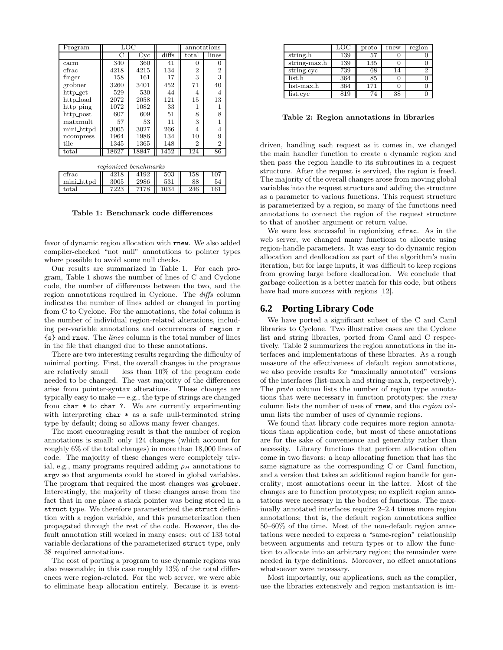| Program                      | LOC   |       |       | annotations |                |
|------------------------------|-------|-------|-------|-------------|----------------|
|                              | C     | Cyc   | diffs | total       | lines          |
| cacm                         | 340   | 360   | 41    | 0           | 0              |
| cfrac                        | 4218  | 4215  | 134   | 2           | $\overline{2}$ |
| finger                       | 158   | 161   | 17    | 3           | 3              |
| grobner                      | 3260  | 3401  | 452   | 71          | 40             |
| http_get                     | 529   | 530   | 44    | 4           | 4              |
| http_load                    | 2072  | 2058  | 121   | 15          | 13             |
| http_ping                    | 1072  | 1082  | 33    |             |                |
| http_post                    | 607   | 609   | 51    | 8           | 8              |
| matxmult                     | 57    | 53    | 11    | 3           |                |
| mini httpd                   | 3005  | 3027  | 266   | 4           | 4              |
| ncompress                    | 1964  | 1986  | 134   | 10          | 9              |
| tile                         | 1345  | 1365  | 148   | 2           | $\overline{2}$ |
| total                        | 18627 | 18847 | 1452  | 124         | 86             |
| <i>regionized</i> benchmarks |       |       |       |             |                |

| cfrac      |      | 4192 | ∥<br>503  | 158 |     |
|------------|------|------|-----------|-----|-----|
| mini httpd | 3005 | 2986 | 531       | 88  | 54  |
| total      |      |      | ║<br>1034 | 246 | 161 |

**Table 1: Benchmark code differences**

favor of dynamic region allocation with rnew. We also added compiler-checked "not null" annotations to pointer types where possible to avoid some null checks.

Our results are summarized in Table 1. For each program, Table 1 shows the number of lines of C and Cyclone code, the number of differences between the two, and the region annotations required in Cyclone. The diffs column indicates the number of lines added or changed in porting from C to Cyclone. For the annotations, the total column is the number of individual region-related alterations, including per-variable annotations and occurrences of region r {s} and rnew. The lines column is the total number of lines in the file that changed due to these annotations.

There are two interesting results regarding the difficulty of minimal porting. First, the overall changes in the programs are relatively small  $-$  less than 10% of the program code needed to be changed. The vast majority of the differences arise from pointer-syntax alterations. These changes are typically easy to make — e.g., the type of strings are changed from char \* to char ?. We are currently experimenting with interpreting char \* as a safe null-terminated string type by default; doing so allows many fewer changes.

The most encouraging result is that the number of region annotations is small: only 124 changes (which account for roughly 6% of the total changes) in more than 18,000 lines of code. The majority of these changes were completely trivial, e.g., many programs required adding  $\rho_H$  annotations to argv so that arguments could be stored in global variables. The program that required the most changes was grobner. Interestingly, the majority of these changes arose from the fact that in one place a stack pointer was being stored in a struct type. We therefore parameterized the struct definition with a region variable, and this parameterization then propagated through the rest of the code. However, the default annotation still worked in many cases: out of 133 total variable declarations of the parameterized struct type, only 38 required annotations.

The cost of porting a program to use dynamic regions was also reasonable; in this case roughly 13% of the total differences were region-related. For the web server, we were able to eliminate heap allocation entirely. Because it is event-

|              | LOC | proto | rnew | region |
|--------------|-----|-------|------|--------|
| string.h     | 139 | 57    |      |        |
| string-max.h | 139 | 135   |      |        |
| string.cyc   | 739 | 68    |      |        |
| list.h       | 364 | 85    |      |        |
| $list-max.h$ | 364 | 171   |      |        |
| list.cyc     | 819 |       | 38   |        |

**Table 2: Region annotations in libraries**

driven, handling each request as it comes in, we changed the main handler function to create a dynamic region and then pass the region handle to its subroutines in a request structure. After the request is serviced, the region is freed. The majority of the overall changes arose from moving global variables into the request structure and adding the structure as a parameter to various functions. This request structure is parameterized by a region, so many of the functions need annotations to connect the region of the request structure to that of another argument or return value.

We were less successful in regionizing cfrac. As in the web server, we changed many functions to allocate using region-handle parameters. It was easy to do dynamic region allocation and deallocation as part of the algorithm's main iteration, but for large inputs, it was difficult to keep regions from growing large before deallocation. We conclude that garbage collection is a better match for this code, but others have had more success with regions [12].

#### **6.2 Porting Library Code**

We have ported a significant subset of the C and Caml libraries to Cyclone. Two illustrative cases are the Cyclone list and string libraries, ported from Caml and C respectively. Table 2 summarizes the region annotations in the interfaces and implementations of these libraries. As a rough measure of the effectiveness of default region annotations, we also provide results for "maximally annotated" versions of the interfaces (list-max.h and string-max.h, respectively). The proto column lists the number of region type annotations that were necessary in function prototypes; the rnew column lists the number of uses of rnew, and the region column lists the number of uses of dynamic regions.

We found that library code requires more region annotations than application code, but most of these annotations are for the sake of convenience and generality rather than necessity. Library functions that perform allocation often come in two flavors: a heap allocating function that has the same signature as the corresponding C or Caml function, and a version that takes an additional region handle for generality; most annotations occur in the latter. Most of the changes are to function prototypes; no explicit region annotations were necessary in the bodies of functions. The maximally annotated interfaces require 2–2.4 times more region annotations; that is, the default region annotations suffice 50–60% of the time. Most of the non-default region annotations were needed to express a "same-region" relationship between arguments and return types or to allow the function to allocate into an arbitrary region; the remainder were needed in type definitions. Moreover, no effect annotations whatsoever were necessary.

Most importantly, our applications, such as the compiler, use the libraries extensively and region instantiation is im-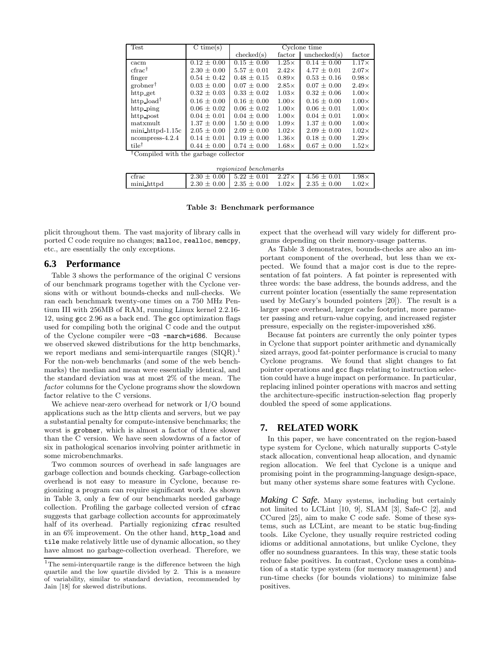| <b>Test</b>                | $\overline{\mathrm{C} \text{ time}}(\mathrm{s})$ | Cyclone time    |              |                 |              |
|----------------------------|--------------------------------------------------|-----------------|--------------|-----------------|--------------|
|                            |                                                  | checked(s)      | factor       | unchecked(s)    | factor       |
| cacm                       | $0.12 \pm 0.00$                                  | $0.15 + 0.00$   | $1.25\times$ | $0.14 + 0.00$   | $1.17\times$ |
| $c$ fra $c^{\dagger}$      | $2.30 \pm 0.00$                                  | $5.57 + 0.01$   | $2.42\times$ | $4.77 + 0.01$   | $2.07\times$ |
| finger                     | $0.54 \pm 0.42$                                  | $0.48 \pm 0.15$ | $0.89\times$ | $0.53 \pm 0.16$ | $0.98\times$ |
| $\text{grobner}^{\dagger}$ | $0.03 \pm 0.00$                                  | $0.07 \pm 0.00$ | $2.85\times$ | $0.07 + 0.00$   | $2.49\times$ |
| http_get                   | $0.32 \pm 0.03$                                  | $0.33 + 0.02$   | $1.03\times$ | $0.32 + 0.06$   | $1.00\times$ |
| http load <sup>†</sup>     | $0.16 + 0.00$                                    | $0.16 + 0.00$   | $1.00\times$ | $0.16 + 0.00$   | $1.00\times$ |
| http ping                  | $0.06 + 0.02$                                    | $0.06 + 0.02$   | $1.00\times$ | $0.06 + 0.01$   | $1.00\times$ |
| http_post                  | $0.04 \pm 0.01$                                  | $0.04 + 0.00$   | $1.00\times$ | $0.04 + 0.01$   | $1.00\times$ |
| matxmult                   | $1.37 + 0.00$                                    | $1.50 \pm 0.00$ | $1.09\times$ | $1.37 + 0.00$   | $1.00\times$ |
| mini_httpd-1.15c           | $2.05 \pm 0.00$                                  | $2.09 + 0.00$   | $1.02\times$ | $2.09 \pm 0.00$ | $1.02\times$ |
| $ncompress-4.2.4$          | $0.14 \pm 0.01$                                  | $0.19 \pm 0.00$ | $1.36\times$ | $0.18 + 0.00$   | $1.29\times$ |
| tile <sup>†</sup>          | $0.44 \pm 0.00$                                  | $0.74 \pm 0.00$ | $1.68\times$ | $0.67 \pm 0.00$ | $1.52\times$ |

†Compiled with the garbage collector

| regionized benchmarks |                                   |  |                |                                 |              |  |
|-----------------------|-----------------------------------|--|----------------|---------------------------------|--------------|--|
| ctrac                 | $2.30 \pm 0.00$   $5.22 \pm 0.01$ |  |                | $2.27 \times$   4.56 $\pm$ 0.01 | $1.98\times$ |  |
| mini httpd            | $2.30 \pm 0.00$   $2.35 \pm 0.00$ |  | $1.02\times$ 1 | $2.35 \pm 0.00$                 | $1.02\times$ |  |

#### **Table 3: Benchmark performance**

plicit throughout them. The vast majority of library calls in ported C code require no changes; malloc, realloc, memcpy, etc., are essentially the only exceptions.

#### **6.3 Performance**

Table 3 shows the performance of the original C versions of our benchmark programs together with the Cyclone versions with or without bounds-checks and null-checks. We ran each benchmark twenty-one times on a 750 MHz Pentium III with 256MB of RAM, running Linux kernel 2.2.16- 12, using gcc 2.96 as a back end. The gcc optimization flags used for compiling both the original C code and the output of the Cyclone compiler were -O3 -march=i686. Because we observed skewed distributions for the http benchmarks, we report medians and semi-interquartile ranges  $(SIQR)^{1}$ . For the non-web benchmarks (and some of the web benchmarks) the median and mean were essentially identical, and the standard deviation was at most 2% of the mean. The factor columns for the Cyclone programs show the slowdown factor relative to the C versions.

We achieve near-zero overhead for network or I/O bound applications such as the http clients and servers, but we pay a substantial penalty for compute-intensive benchmarks; the worst is grobner, which is almost a factor of three slower than the C version. We have seen slowdowns of a factor of six in pathological scenarios involving pointer arithmetic in some microbenchmarks.

Two common sources of overhead in safe languages are garbage collection and bounds checking. Garbage-collection overhead is not easy to measure in Cyclone, because regionizing a program can require significant work. As shown in Table 3, only a few of our benchmarks needed garbage collection. Profiling the garbage collected version of cfrac suggests that garbage collection accounts for approximately half of its overhead. Partially regionizing cfrac resulted in an 6% improvement. On the other hand, http\_load and tile make relatively little use of dynamic allocation, so they have almost no garbage-collection overhead. Therefore, we expect that the overhead will vary widely for different programs depending on their memory-usage patterns.

As Table 3 demonstrates, bounds-checks are also an important component of the overhead, but less than we expected. We found that a major cost is due to the representation of fat pointers. A fat pointer is represented with three words: the base address, the bounds address, and the current pointer location (essentially the same representation used by McGary's bounded pointers [20]). The result is a larger space overhead, larger cache footprint, more parameter passing and return-value copying, and increased register pressure, especially on the register-impoverished x86.

Because fat pointers are currently the only pointer types in Cyclone that support pointer arithmetic and dynamically sized arrays, good fat-pointer performance is crucial to many Cyclone programs. We found that slight changes to fat pointer operations and gcc flags relating to instruction selection could have a huge impact on performance. In particular, replacing inlined pointer operations with macros and setting the architecture-specific instruction-selection flag properly doubled the speed of some applications.

#### **7. RELATED WORK**

In this paper, we have concentrated on the region-based type system for Cyclone, which naturally supports C-style stack allocation, conventional heap allocation, and dynamic region allocation. We feel that Cyclone is a unique and promising point in the programming-language design-space, but many other systems share some features with Cyclone.

*Making C Safe.* Many systems, including but certainly not limited to LCLint [10, 9], SLAM [3], Safe-C [2], and CCured [25], aim to make C code safe. Some of these systems, such as LCLint, are meant to be static bug-finding tools. Like Cyclone, they usually require restricted coding idioms or additional annotations, but unlike Cyclone, they offer no soundness guarantees. In this way, these static tools reduce false positives. In contrast, Cyclone uses a combination of a static type system (for memory management) and run-time checks (for bounds violations) to minimize false positives.

 $1$ The semi-interquartile range is the difference between the high quartile and the low quartile divided by 2. This is a measure of variability, similar to standard deviation, recommended by Jain [18] for skewed distributions.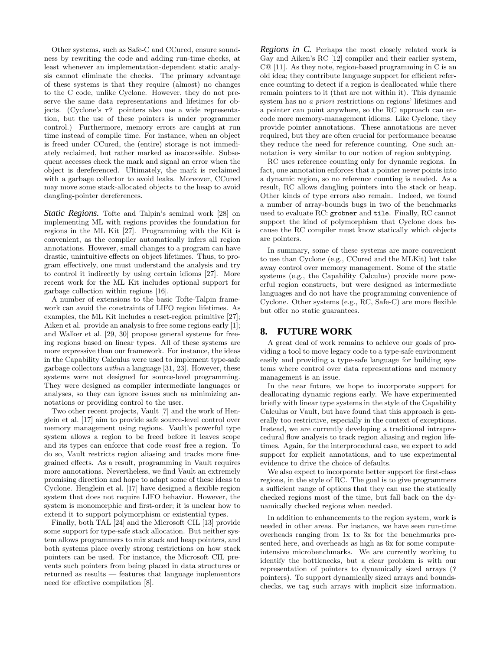Other systems, such as Safe-C and CCured, ensure soundness by rewriting the code and adding run-time checks, at least whenever an implementation-dependent static analysis cannot eliminate the checks. The primary advantage of these systems is that they require (almost) no changes to the C code, unlike Cyclone. However, they do not preserve the same data representations and lifetimes for objects. (Cyclone's  $\tau$ ? pointers also use a wide representation, but the use of these pointers is under programmer control.) Furthermore, memory errors are caught at run time instead of compile time. For instance, when an object is freed under CCured, the (entire) storage is not immediately reclaimed, but rather marked as inaccessible. Subsequent accesses check the mark and signal an error when the object is dereferenced. Ultimately, the mark is reclaimed with a garbage collector to avoid leaks. Moreover, CCured may move some stack-allocated objects to the heap to avoid dangling-pointer dereferences.

*Static Regions.* Tofte and Talpin's seminal work [28] on implementing ML with regions provides the foundation for regions in the ML Kit [27]. Programming with the Kit is convenient, as the compiler automatically infers all region annotations. However, small changes to a program can have drastic, unintuitive effects on object lifetimes. Thus, to program effectively, one must understand the analysis and try to control it indirectly by using certain idioms [27]. More recent work for the ML Kit includes optional support for garbage collection within regions [16].

A number of extensions to the basic Tofte-Talpin framework can avoid the constraints of LIFO region lifetimes. As examples, the ML Kit includes a reset-region primitive [27]; Aiken et al. provide an analysis to free some regions early [1]; and Walker et al. [29, 30] propose general systems for freeing regions based on linear types. All of these systems are more expressive than our framework. For instance, the ideas in the Capability Calculus were used to implement type-safe garbage collectors within a language [31, 23]. However, these systems were not designed for source-level programming. They were designed as compiler intermediate languages or analyses, so they can ignore issues such as minimizing annotations or providing control to the user.

Two other recent projects, Vault [7] and the work of Henglein et al. [17] aim to provide safe source-level control over memory management using regions. Vault's powerful type system allows a region to be freed before it leaves scope and its types can enforce that code must free a region. To do so, Vault restricts region aliasing and tracks more finegrained effects. As a result, programming in Vault requires more annotations. Nevertheless, we find Vault an extremely promising direction and hope to adapt some of these ideas to Cyclone. Henglein et al. [17] have designed a flexible region system that does not require LIFO behavior. However, the system is monomorphic and first-order; it is unclear how to extend it to support polymorphism or existential types.

Finally, both TAL [24] and the Microsoft CIL [13] provide some support for type-safe stack allocation. But neither system allows programmers to mix stack and heap pointers, and both systems place overly strong restrictions on how stack pointers can be used. For instance, the Microsoft CIL prevents such pointers from being placed in data structures or returned as results — features that language implementors need for effective compilation [8].

*Regions in C.* Perhaps the most closely related work is Gay and Aiken's RC [12] compiler and their earlier system, C@ [11]. As they note, region-based programming in C is an old idea; they contribute language support for efficient reference counting to detect if a region is deallocated while there remain pointers to it (that are not within it). This dynamic system has no a priori restrictions on regions' lifetimes and a pointer can point anywhere, so the RC approach can encode more memory-management idioms. Like Cyclone, they provide pointer annotations. These annotations are never required, but they are often crucial for performance because they reduce the need for reference counting. One such annotation is very similar to our notion of region subtyping.

RC uses reference counting only for dynamic regions. In fact, one annotation enforces that a pointer never points into a dynamic region, so no reference counting is needed. As a result, RC allows dangling pointers into the stack or heap. Other kinds of type errors also remain. Indeed, we found a number of array-bounds bugs in two of the benchmarks used to evaluate RC: grobner and tile. Finally, RC cannot support the kind of polymorphism that Cyclone does because the RC compiler must know statically which objects are pointers.

In summary, some of these systems are more convenient to use than Cyclone (e.g., CCured and the MLKit) but take away control over memory management. Some of the static systems (e.g., the Capability Calculus) provide more powerful region constructs, but were designed as intermediate languages and do not have the programming convenience of Cyclone. Other systems (e.g., RC, Safe-C) are more flexible but offer no static guarantees.

# **8. FUTURE WORK**

A great deal of work remains to achieve our goals of providing a tool to move legacy code to a type-safe environment easily and providing a type-safe language for building systems where control over data representations and memory management is an issue.

In the near future, we hope to incorporate support for deallocating dynamic regions early. We have experimented briefly with linear type systems in the style of the Capability Calculus or Vault, but have found that this approach is generally too restrictive, especially in the context of exceptions. Instead, we are currently developing a traditional intraprocedural flow analysis to track region aliasing and region lifetimes. Again, for the interprocedural case, we expect to add support for explicit annotations, and to use experimental evidence to drive the choice of defaults.

We also expect to incorporate better support for first-class regions, in the style of RC. The goal is to give programmers a sufficient range of options that they can use the statically checked regions most of the time, but fall back on the dynamically checked regions when needed.

In addition to enhancements to the region system, work is needed in other areas. For instance, we have seen run-time overheads ranging from 1x to 3x for the benchmarks presented here, and overheads as high as 6x for some computeintensive microbenchmarks. We are currently working to identify the bottlenecks, but a clear problem is with our representation of pointers to dynamically sized arrays (? pointers). To support dynamically sized arrays and boundschecks, we tag such arrays with implicit size information.